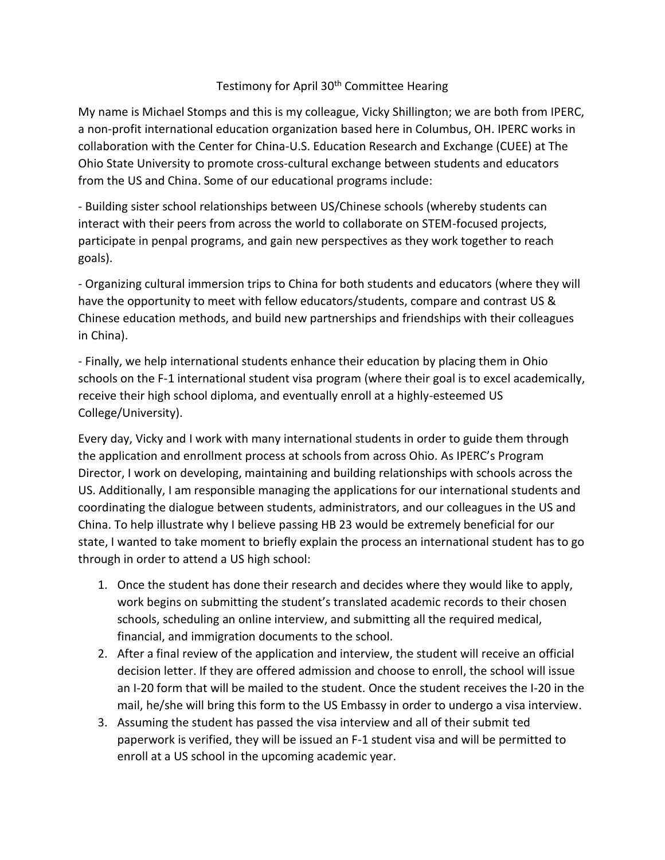## Testimony for April 30<sup>th</sup> Committee Hearing

My name is Michael Stomps and this is my colleague, Vicky Shillington; we are both from IPERC, a non-profit international education organization based here in Columbus, OH. IPERC works in collaboration with the Center for China-U.S. Education Research and Exchange (CUEE) at The Ohio State University to promote cross-cultural exchange between students and educators from the US and China. Some of our educational programs include:

- Building sister school relationships between US/Chinese schools (whereby students can interact with their peers from across the world to collaborate on STEM-focused projects, participate in penpal programs, and gain new perspectives as they work together to reach goals).

- Organizing cultural immersion trips to China for both students and educators (where they will have the opportunity to meet with fellow educators/students, compare and contrast US & Chinese education methods, and build new partnerships and friendships with their colleagues in China).

- Finally, we help international students enhance their education by placing them in Ohio schools on the F-1 international student visa program (where their goal is to excel academically, receive their high school diploma, and eventually enroll at a highly-esteemed US College/University).

Every day, Vicky and I work with many international students in order to guide them through the application and enrollment process at schools from across Ohio. As IPERC's Program Director, I work on developing, maintaining and building relationships with schools across the US. Additionally, I am responsible managing the applications for our international students and coordinating the dialogue between students, administrators, and our colleagues in the US and China. To help illustrate why I believe passing HB 23 would be extremely beneficial for our state, I wanted to take moment to briefly explain the process an international student has to go through in order to attend a US high school:

- 1. Once the student has done their research and decides where they would like to apply, work begins on submitting the student's translated academic records to their chosen schools, scheduling an online interview, and submitting all the required medical, financial, and immigration documents to the school.
- 2. After a final review of the application and interview, the student will receive an official decision letter. If they are offered admission and choose to enroll, the school will issue an I-20 form that will be mailed to the student. Once the student receives the I-20 in the mail, he/she will bring this form to the US Embassy in order to undergo a visa interview.
- 3. Assuming the student has passed the visa interview and all of their submit ted paperwork is verified, they will be issued an F-1 student visa and will be permitted to enroll at a US school in the upcoming academic year.